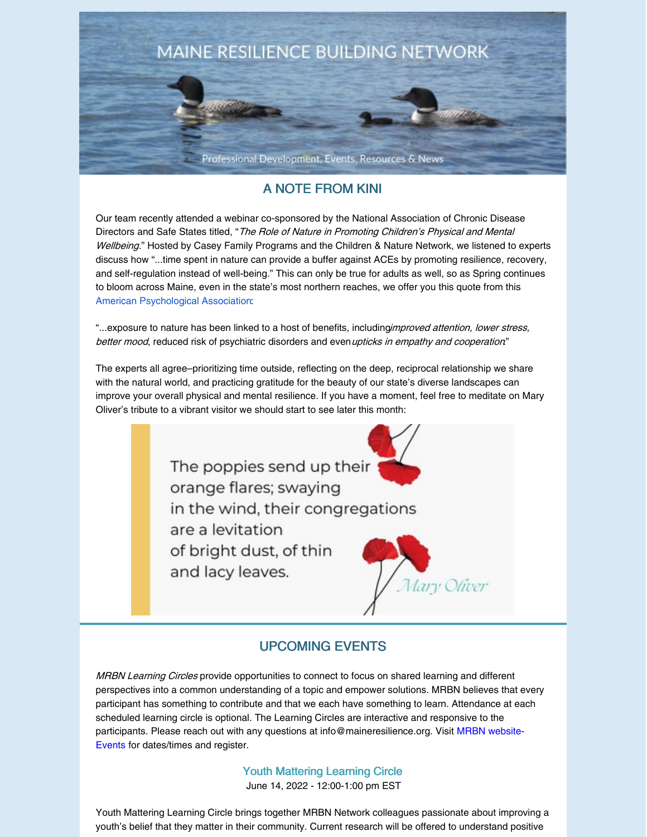

# A NOTE FROM KINI

Our team recently attended a webinar co-sponsored by the National Association of Chronic Disease Directors and Safe States titled, "The Role of Nature in Promoting Children's Physical and Mental Wellbeing." Hosted by Casey Family Programs and the Children & Nature Network, we listened to experts discuss how "...time spent in nature can provide a buffer against ACEs by promoting resilience, recovery, and self-regulation instead of well-being." This can only be true for adults as well, so as Spring continues to bloom across Maine, even in the state's most northern reaches, we offer you this quote from this American [Psychological](https://www.apa.org/monitor/2020/04/nurtured-nature) Association:

"...exposure to nature has been linked to a host of benefits, includingimproved attention, lower stress, better mood, reduced risk of psychiatric disorders and even upticks in empathy and cooperation"

The experts all agree–prioritizing time outside, reflecting on the deep, reciprocal relationship we share with the natural world, and practicing gratitude for the beauty of our state's diverse landscapes can improve your overall physical and mental resilience. If you have a moment, feel free to meditate on Mary Oliver's tribute to a vibrant visitor we should start to see later this month:



# UPCOMING EVENTS

MRBN Learning Circles provide opportunities to connect to focus on shared learning and different perspectives into a common understanding of a topic and empower solutions. MRBN believes that every participant has something to contribute and that we each have something to learn. Attendance at each scheduled learning circle is optional. The Learning Circles are interactive and responsive to the participants. Please reach out with any questions at [info@maineresilience.org.](https://maineresilience.org/events) Visit MRBN website-Events for dates/times and register.

> Youth [Mattering](https://maineresilience.org/event-4837364?CalendarViewType=1&SelectedDate=6/2/2022) Learning Circle June 14, 2022 - 12:00-1:00 pm EST

Youth Mattering Learning Circle brings together MRBN Network colleagues passionate about improving a youth's belief that they matter in their community. Current research will be offered to understand positive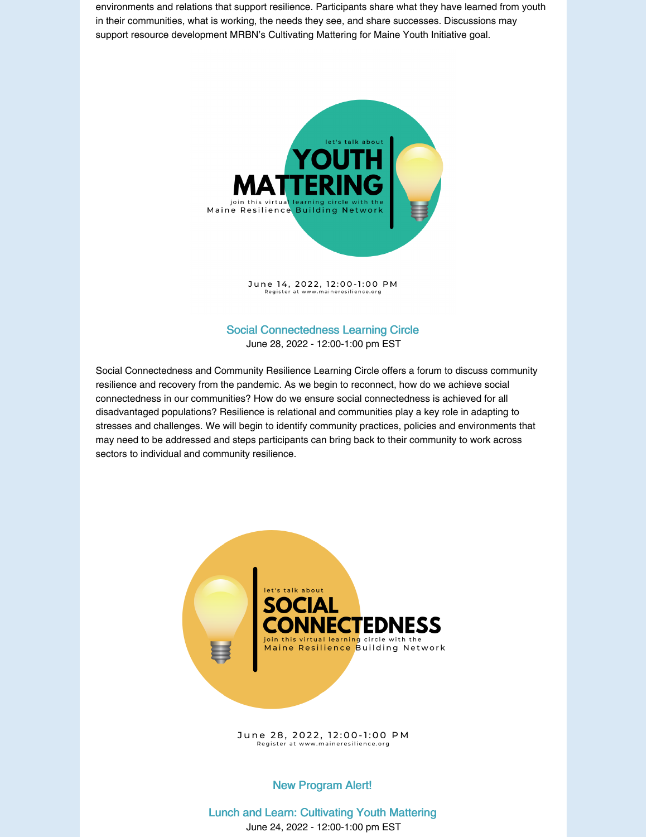environments and relations that support resilience. Participants share what they have learned from youth in their communities, what is working, the needs they see, and share successes. Discussions may support resource development MRBN's Cultivating Mattering for Maine Youth Initiative goal.



June 14, 2022, 12:00-1:00 PM<br>Register at www.maineresilience.org

#### Social [Connectedness](https://maineresilience.org/event-4837370?CalendarViewType=1&SelectedDate=6/2/2022) Learning Circle June 28, 2022 - 12:00-1:00 pm EST

Social Connectedness and Community Resilience Learning Circle offers a forum to discuss community resilience and recovery from the pandemic. As we begin to reconnect, how do we achieve social connectedness in our communities? How do we ensure social connectedness is achieved for all disadvantaged populations? Resilience is relational and communities play a key role in adapting to stresses and challenges. We will begin to identify community practices, policies and environments that may need to be addressed and steps participants can bring back to their community to work across sectors to individual and community resilience.



June 28, 2022, 12:00-1:00 PM Register at www.maineresilience.org

#### New Program Alert!

Lunch and Learn: [Cultivating](https://maineresilience.org/event-4853508) Youth Mattering June 24, 2022 - 12:00-1:00 pm EST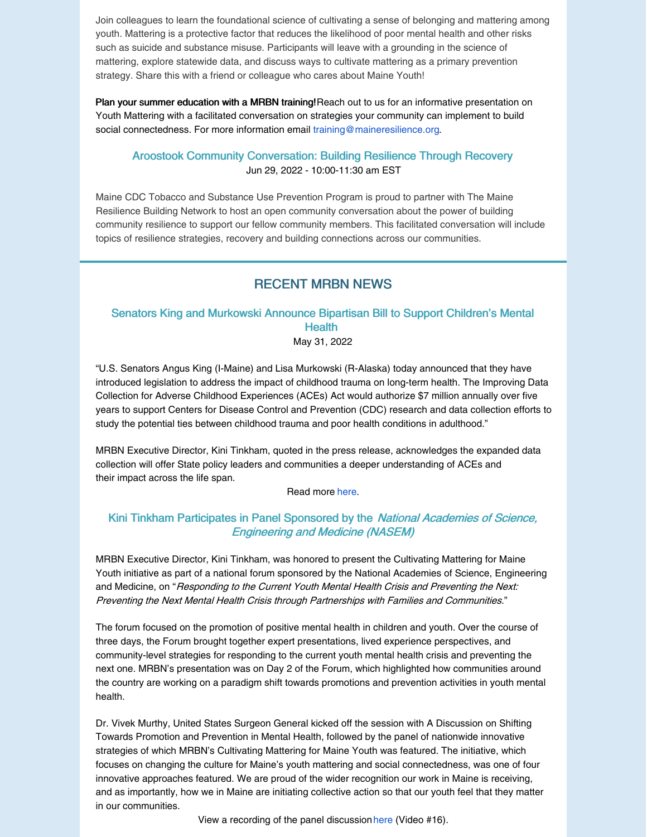Join colleagues to learn the foundational science of cultivating a sense of belonging and mattering among youth. Mattering is a protective factor that reduces the likelihood of poor mental health and other risks such as suicide and substance misuse. Participants will leave with a grounding in the science of mattering, explore statewide data, and discuss ways to cultivate mattering as a primary prevention strategy. Share this with a friend or colleague who cares about Maine Youth!

Plan your summer education with a MRBN training! Reach out to us for an informative presentation on Youth Mattering with a facilitated conversation on strategies your community can implement to build social connectedness. For more information email [training@maineresilience.org](mailto:training@maineresilience.org).

#### Aroostook Community [Conversation:](https://maineresilience.org/event-4852386?CalendarViewType=1&SelectedDate=6/2/2022) Building Resilience Through Recovery Jun 29, 2022 - 10:00-11:30 am EST

Maine CDC Tobacco and Substance Use Prevention Program is proud to partner with The Maine Resilience Building Network to host an open community conversation about the power of building community resilience to support our fellow community members. This facilitated conversation will include topics of resilience strategies, recovery and building connections across our communities.

## RECENT MRBN NEWS

### Senators King and Murkowski Announce Bipartisan Bill to Support Children's Mental **Health**

May 31, 2022

"U.S. Senators Angus King (I-Maine) and Lisa Murkowski (R-Alaska) today announced that they have introduced legislation to address the impact of childhood trauma on long-term health. The Improving Data Collection for Adverse Childhood Experiences (ACEs) Act would authorize \$7 million annually over five years to support Centers for Disease Control and Prevention (CDC) research and data collection efforts to study the potential ties between childhood trauma and poor health conditions in adulthood."

MRBN Executive Director, Kini Tinkham, quoted in the press release, acknowledges the expanded data collection will offer State policy leaders and communities a deeper understanding of ACEs and their impact across the life span.

Read more [here.](https://www.king.senate.gov/newsroom/press-releases/king-murkowski-join-to-introduce-bipartisan-bill-supporting-childrens-mental-health)

### Kini Tinkham Participates in Panel Sponsored by the National Academies of Science, Engineering and Medicine (NASEM)

MRBN Executive Director, Kini Tinkham, was honored to present the Cultivating Mattering for Maine Youth initiative as part of a national forum sponsored by the National Academies of Science, Engineering and Medicine, on "Responding to the Current Youth Mental Health Crisis and Preventing the Next: Preventing the Next Mental Health Crisis through Partnerships with Families and Communities."

The forum focused on the promotion of positive mental health in children and youth. Over the course of three days, the Forum brought together expert presentations, lived experience perspectives, and community-level strategies for responding to the current youth mental health crisis and preventing the next one. MRBN's presentation was on Day 2 of the Forum, which highlighted how communities around the country are working on a paradigm shift towards promotions and prevention activities in youth mental health.

Dr. Vivek Murthy, United States Surgeon General kicked off the session with A Discussion on Shifting Towards Promotion and Prevention in Mental Health, followed by the panel of nationwide innovative strategies of which MRBN's Cultivating Mattering for Maine Youth was featured. The initiative, which focuses on changing the culture for Maine's youth mattering and social connectedness, was one of four innovative approaches featured. We are proud of the wider recognition our work in Maine is receiving, and as importantly, how we in Maine are initiating collective action so that our youth feel that they matter in our communities.

View a recording of the panel discussion [here](https://vimeo.com/showcase/9513560?page=2) (Video #16).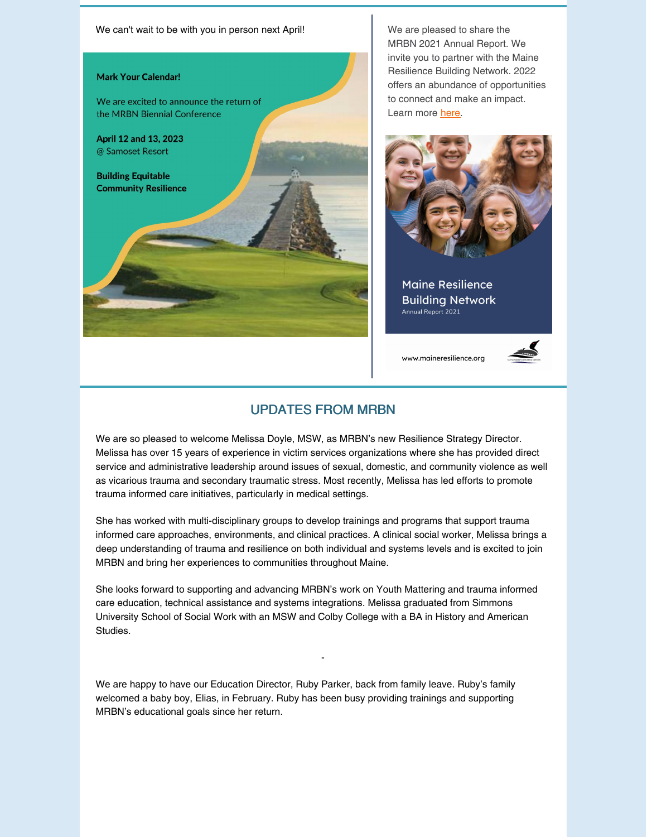

MRBN 2021 Annual Report. We invite you to partner with the Maine Resilience Building Network. 2022 offers an abundance of opportunities to connect and make an impact. Learn more [here](https://maineresilience.org/resources/Documents/Annual Report 2021_FINAL_3.pdf).



**Maine Resilience Building Network** Annual Report 2021

www.maineresilience.org



## UPDATES FROM MRBN

We are so pleased to welcome Melissa Doyle, MSW, as MRBN's new Resilience Strategy Director. Melissa has over 15 years of experience in victim services organizations where she has provided direct service and administrative leadership around issues of sexual, domestic, and community violence as well as vicarious trauma and secondary traumatic stress. Most recently, Melissa has led efforts to promote trauma informed care initiatives, particularly in medical settings.

She has worked with multi-disciplinary groups to develop trainings and programs that support trauma informed care approaches, environments, and clinical practices. A clinical social worker, Melissa brings a deep understanding of trauma and resilience on both individual and systems levels and is excited to join MRBN and bring her experiences to communities throughout Maine.

She looks forward to supporting and advancing MRBN's work on Youth Mattering and trauma informed care education, technical assistance and systems integrations. Melissa graduated from Simmons University School of Social Work with an MSW and Colby College with a BA in History and American Studies.

-

We are happy to have our Education Director, Ruby Parker, back from family leave. Ruby's family welcomed a baby boy, Elias, in February. Ruby has been busy providing trainings and supporting MRBN's educational goals since her return.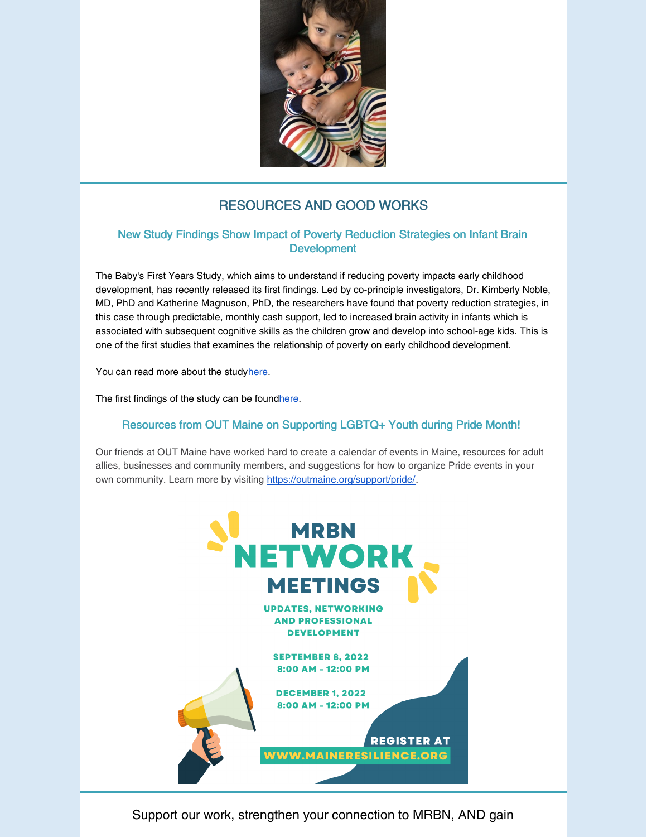

# RESOURCES AND GOOD WORKS

### New Study Findings Show Impact of Poverty Reduction Strategies on Infant Brain Development

The Baby's First Years Study, which aims to understand if reducing poverty impacts early childhood development, has recently released its first findings. Led by co-principle investigators, Dr. Kimberly Noble, MD, PhD and Katherine Magnuson, PhD, the researchers have found that poverty reduction strategies, in this case through predictable, monthly cash support, led to increased brain activity in infants which is associated with subsequent cognitive skills as the children grow and develop into school-age kids. This is one of the first studies that examines the relationship of poverty on early childhood development.

You can read more about the stud[yhere](https://www.babysfirstyears.com/).

The first findings of the study can be foun[dhere](https://www.pnas.org/doi/10.1073/pnas.2115649119).

### Resources from OUT Maine on Supporting LGBTQ+ Youth during Pride Month!

Our friends at OUT Maine have worked hard to create a calendar of events in Maine, resources for adult allies, businesses and community members, and suggestions for how to organize Pride events in your own community. Learn more by visiting <https://outmaine.org/support/pride/>.



Support our work, strengthen your connection to MRBN, AND gain